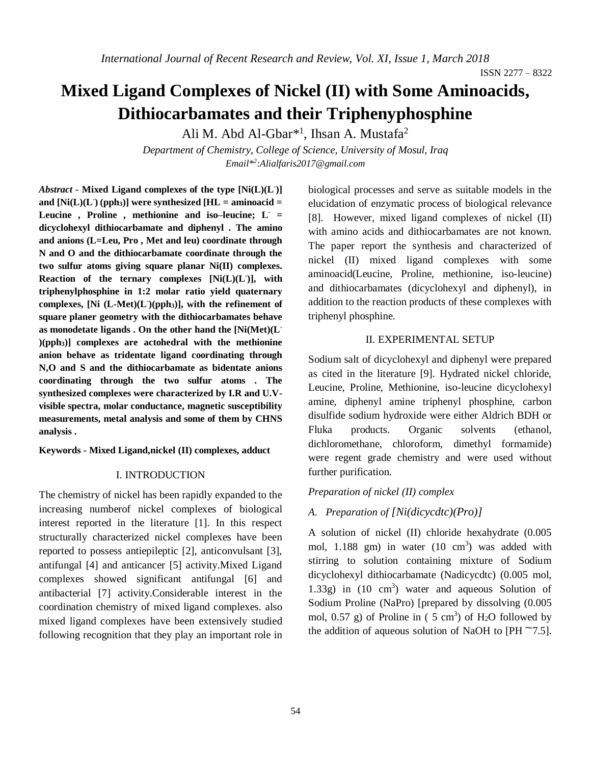ISSN 2277 – 8322

# **Mixed Ligand Complexes of Nickel (II) with Some Aminoacids, Dithiocarbamates and their Triphenyphosphine**

Ali M. Abd Al-Gbar<sup>\*1</sup>, Ihsan A. Mustafa<sup>2</sup>

*Department of Chemistry, College of Science, University of Mosul, Iraq Email\* 2 :Alialfaris2017@gmail.com*

*Abstract -* **Mixed Ligand complexes of the type [Ni(L)(L- )]**  and  $[Ni(L)(L)$  (pph<sub>3</sub>)] were synthesized  $[HL =$  aminoacid = **Leucine , Proline , methionine and iso–leucine; L- = dicyclohexyl dithiocarbamate and diphenyl . The amino and anions (L=Leu, Pro , Met and leu) coordinate through N and O and the dithiocarbamate coordinate through the two sulfur atoms giving square planar Ni(II) complexes. Reaction of the ternary complexes [Ni(L)(L- )], with triphenylphosphine in 1:2 molar ratio yield quaternary complexes, [Ni (L-Met)(L- )(pph3)], with the refinement of square planer geometry with the dithiocarbamates behave as monodetate ligands . On the other hand the [Ni(Met)(L- )(pph3)] complexes are actohedral with the methionine anion behave as tridentate ligand coordinating through N,O and S and the dithiocarbamate as bidentate anions coordinating through the two sulfur atoms . The synthesized complexes were characterized by I.R and U.Vvisible spectra, molar conductance, magnetic susceptibility measurements, metal analysis and some of them by CHNS analysis .**

**Keywords - Mixed Ligand,nickel (II) complexes, adduct**

#### I. INTRODUCTION

The chemistry of nickel has been rapidly expanded to the increasing numberof nickel complexes of biological interest reported in the literature [1]. In this respect structurally characterized nickel complexes have been reported to possess antiepileptic [2], anticonvulsant [3], antifungal [4] and anticancer [5] activity.Mixed Ligand complexes showed significant antifungal [6] and antibacterial [7] activity.Considerable interest in the coordination chemistry of mixed ligand complexes. also mixed ligand complexes have been extensively studied following recognition that they play an important role in biological processes and serve as suitable models in the elucidation of enzymatic process of biological relevance [8]. However, mixed ligand complexes of nickel (II) with amino acids and dithiocarbamates are not known. The paper report the synthesis and characterized of nickel (II) mixed ligand complexes with some aminoacid(Leucine, Proline, methionine, iso-leucine) and dithiocarbamates (dicyclohexyl and diphenyl), in addition to the reaction products of these complexes with triphenyl phosphine.

#### II. EXPERIMENTAL SETUP

Sodium salt of dicyclohexyl and diphenyl were prepared as cited in the literature [9]. Hydrated nickel chloride, Leucine, Proline, Methionine, iso-leucine dicyclohexyl amine, diphenyl amine triphenyl phosphine, carbon disulfide sodium hydroxide were either Aldrich BDH or Fluka products. Organic solvents (ethanol, dichloromethane, chloroform, dimethyl formamide) were regent grade chemistry and were used without further purification.

#### *Preparation of nickel (II) complex*

#### *A. Preparation of [Ni(dicycdtc)(Pro)]*

A solution of nickel (II) chloride hexahydrate (0.005 mol,  $1.188$  gm) in water  $(10 \text{ cm}^3)$  was added with stirring to solution containing mixture of Sodium dicyclohexyl dithiocarbamate (Nadicycdtc) (0.005 mol, 1.33g) in  $(10 \text{ cm}^3)$  water and aqueous Solution of Sodium Proline (NaPro) [prepared by dissolving (0.005 mol,  $0.57$  g) of Proline in (5 cm<sup>3</sup>) of H<sub>2</sub>O followed by the addition of aqueous solution of NaOH to [PH  $\sim$ 7.5].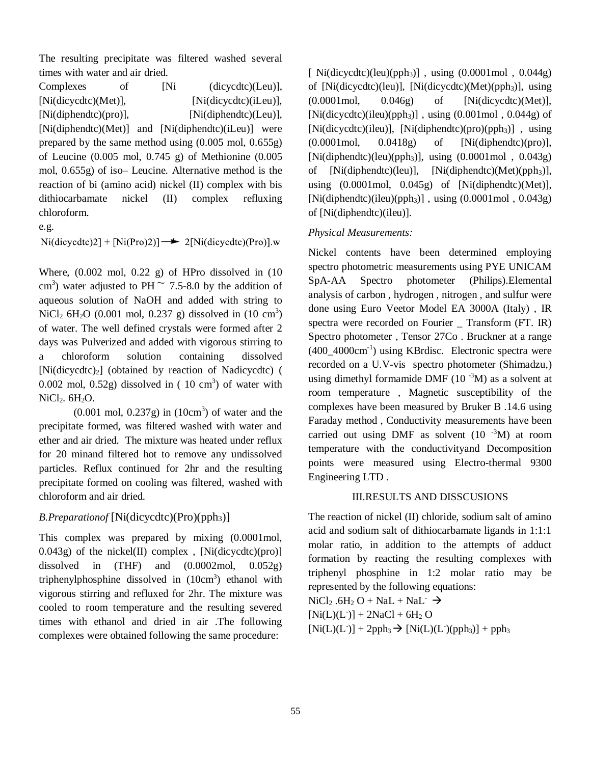The resulting precipitate was filtered washed several times with water and air dried.

| Complexes                                                                           | of | [Ni |                       | (dicycdtc)(Leu)], |  |  |  |
|-------------------------------------------------------------------------------------|----|-----|-----------------------|-------------------|--|--|--|
| [Ni(dicycdtc)(Met)],                                                                |    |     | [Ni(dicycdtc)(iLeu)], |                   |  |  |  |
| [Ni(diphendtc)(pro)],<br>[Ni(diphendte)(Leu)],                                      |    |     |                       |                   |  |  |  |
| [Ni(diphendtc)(Met)] and [Ni(diphendtc)(iLeu)] were                                 |    |     |                       |                   |  |  |  |
| prepared by the same method using $(0.005 \text{ mol}, 0.655g)$                     |    |     |                       |                   |  |  |  |
| of Leucine $(0.005 \text{ mol}, 0.745 \text{ g})$ of Methionine $(0.005 \text{ m})$ |    |     |                       |                   |  |  |  |
| mol, 0.655g) of iso-Leucine. Alternative method is the                              |    |     |                       |                   |  |  |  |
| reaction of bi (amino acid) nickel (II) complex with bis                            |    |     |                       |                   |  |  |  |
| dithiocarbamate nickel (II) complex refluxing                                       |    |     |                       |                   |  |  |  |
| chloroform.                                                                         |    |     |                       |                   |  |  |  |

e.g.

 $\text{Ni(dicycdtc)}2] + \text{[Ni(Pro)2)}$   $\rightarrow$  2[Ni(dicycdtc)(Pro)].w

Where,  $(0.002 \text{ mol}, 0.22 \text{ g})$  of HPro dissolved in  $(10$ cm<sup>3</sup>) water adjusted to PH  $\sim$  7.5-8.0 by the addition of aqueous solution of NaOH and added with string to NiCl<sub>2</sub> 6H<sub>2</sub>O (0.001 mol, 0.237 g) dissolved in  $(10 \text{ cm}^3)$ of water. The well defined crystals were formed after 2 days was Pulverized and added with vigorous stirring to a chloroform solution containing dissolved  $[Ni(dicycdtc)<sub>2</sub>]$  (obtained by reaction of Nadicycdtc) ( 0.002 mol, 0.52g) dissolved in  $(10 \text{ cm}^3)$  of water with NiCl<sub>2</sub>. 6H<sub>2</sub>O.

 $(0.001 \text{ mol}, 0.237g)$  in  $(10 \text{cm}^3)$  of water and the precipitate formed, was filtered washed with water and ether and air dried. The mixture was heated under reflux for 20 minand filtered hot to remove any undissolved particles. Reflux continued for 2hr and the resulting precipitate formed on cooling was filtered, washed with chloroform and air dried.

# *B.Preparationof* [Ni(dicycdtc)(Pro)(pph<sub>3</sub>)]

This complex was prepared by mixing (0.0001mol, 0.043g) of the nickel(II) complex , [Ni(dicycdtc)(pro)] dissolved in  $(THF)$  and  $(0.0002 \text{ mol}, 0.052 \text{ g})$ triphenylphosphine dissolved in  $(10 \text{cm}^3)$  ethanol with vigorous stirring and refluxed for 2hr. The mixture was cooled to room temperature and the resulting severed times with ethanol and dried in air .The following complexes were obtained following the same procedure:

 $[Ni(dicycdtc)(leu)(pph_3)]$ , using  $(0.0001 \text{ mol}$ ,  $0.044 \text{ g})$ of  $[Ni(dicycdtc)(leu)]$ ,  $[Ni(dicycdtc)(Met)(pph_3)]$ , using (0.0001mol, 0.046g) of [Ni(dicycdtc)(Met)],  $[Ni(dicycdtc)(ileu)(pph_3)]$ , using  $(0.001 \text{ mol}$ ,  $(0.044 \text{ g})$  of  $[Ni(dicvedte)(ieu)]$ ,  $[Ni(diphendte)(pro)(pph<sub>3</sub>)]$ , using (0.0001mol, 0.0418g) of [Ni(diphendtc)(pro)], [Ni(diphendtc)(leu)(pph<sub>3</sub>)], using  $(0.0001 \text{ mol}$ ,  $0.043 \text{g})$ of  $[Ni(diphendtc)(leu)], \quad [Ni(diphendtc)(Met)(pph<sub>3</sub>)],$ using (0.0001mol, 0.045g) of [Ni(diphendtc)(Met)],  $[Ni(diphendte)(ileu)(pph<sub>3</sub>)]$ , using  $(0.0001 \text{ mol}$ ,  $(0.043g)$ of [Ni(diphendtc)(ileu)].

# *Physical Measurements:*

Nickel contents have been determined employing spectro photometric measurements using PYE UNICAM SpA-AA Spectro photometer (Philips).Elemental analysis of carbon , hydrogen , nitrogen , and sulfur were done using Euro Veetor Model EA 3000A (Italy) , IR spectra were recorded on Fourier \_ Transform (FT. IR) Spectro photometer , Tensor 27Co . Bruckner at a range (400\_4000cm-1 ) using KBrdisc. Electronic spectra were recorded on a U.V-vis spectro photometer (Shimadzu,) using dimethyl formamide DMF  $(10^{-3}M)$  as a solvent at room temperature , Magnetic susceptibility of the complexes have been measured by Bruker B .14.6 using Faraday method , Conductivity measurements have been carried out using DMF as solvent  $(10^{-3}M)$  at room temperature with the conductivityand Decomposition points were measured using Electro-thermal 9300 Engineering LTD .

### III.RESULTS AND DISSCUSIONS

The reaction of nickel (II) chloride, sodium salt of amino acid and sodium salt of dithiocarbamate ligands in 1:1:1 molar ratio, in addition to the attempts of adduct formation by reacting the resulting complexes with triphenyl phosphine in 1:2 molar ratio may be represented by the following equations:  $NiCl<sub>2</sub> .6H<sub>2</sub>O + NaL + NaL<sup>-</sup> \rightarrow$ 

 $[Ni(L)(L)] + 2NaCl + 6H_2 O$ 

 $[Ni(L)(L<sup>-</sup>)] + 2pph<sub>3</sub> \rightarrow [Ni(L)(L<sup>-</sup>)(pph<sub>3</sub>)] + pph<sub>3</sub>$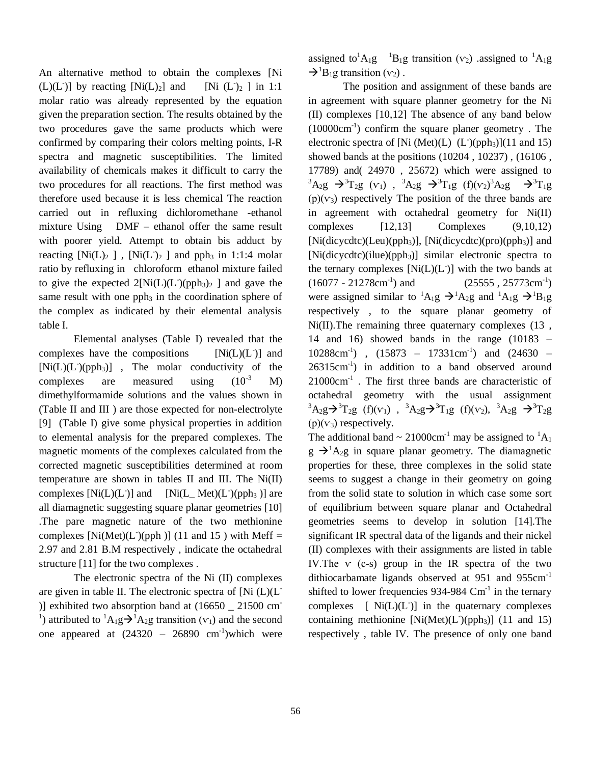An alternative method to obtain the complexes [Ni  $(L)(L<sup>-</sup>)]$  by reacting  $[Ni(L)<sub>2</sub>]$  and [Ni (L<sup>-</sup> [Ni  $(L)_{2}$  ] in 1:1 molar ratio was already represented by the equation given the preparation section. The results obtained by the two procedures gave the same products which were confirmed by comparing their colors melting points, I-R spectra and magnetic susceptibilities. The limited availability of chemicals makes it difficult to carry the two procedures for all reactions. The first method was therefore used because it is less chemical The reaction carried out in refluxing dichloromethane -ethanol mixture Using DMF – ethanol offer the same result with poorer yield. Attempt to obtain bis adduct by reacting  $[Ni(L)_2]$ ,  $[Ni(L)_2]$  and pph<sub>3</sub> in 1:1:4 molar ratio by refluxing in chloroform ethanol mixture failed to give the expected  $2[Ni(L)(L^2)(pph_3)_2]$  and gave the same result with one  $pph<sub>3</sub>$  in the coordination sphere of the complex as indicated by their elemental analysis table I.

Elemental analyses (Table I) revealed that the complexes have the compositions  $[Ni(L)(L<sup>-</sup>)]$  and [Ni(L)(L<sup>-</sup>)(pph<sub>3</sub>)], The molar conductivity of the complexes are measured using  $(10^{-3} \text{ M})$ dimethylformamide solutions and the values shown in (Table II and III ) are those expected for non-electrolyte [9] (Table I) give some physical properties in addition to elemental analysis for the prepared complexes. The magnetic moments of the complexes calculated from the corrected magnetic susceptibilities determined at room temperature are shown in tables II and III. The Ni(II) complexes  $[Ni(L)(L)]$  and )] and  $[Ni(L_Met)(L^-(pph_3))]$  are all diamagnetic suggesting square planar geometries [10] .The pare magnetic nature of the two methionine complexes [Ni(Met)(L<sup>-</sup>)(pph )] (11 and 15) with Meff = 2.97 and 2.81 B.M respectively , indicate the octahedral structure [11] for the two complexes .

The electronic spectra of the Ni (II) complexes are given in table II. The electronic spectra of  $[Ni (L)(L)]$ )] exhibited two absorption band at  $(16650 \quad 21500 \text{ cm}^{-1})$ <sup>1</sup>) attributed to <sup>1</sup>A<sub>1</sub>g $\rightarrow$ <sup>1</sup>A<sub>2</sub>g transition ( $v_1$ ) and the second one appeared at  $(24320 - 26890 \text{ cm}^{-1})$  which were assigned to  ${}^{1}A_{1}g$   ${}^{1}B_{1}g$  transition ( $v_2$ ) .assigned to  ${}^{1}A_{1}g$  $\rightarrow$ <sup>1</sup>B<sub>1</sub>g transition ( $v_2$ ).

The position and assignment of these bands are in agreement with square planner geometry for the Ni (II) complexes [10,12] The absence of any band below (10000cm-1 ) confirm the square planer geometry . The electronic spectra of [Ni (Met)(L) (L )(pph<sub>3</sub>)](11 and 15) showed bands at the positions (10204 , 10237) , (16106 , 17789) and( 24970 , 25672) which were assigned to  ${}^{3}A_{2}g \rightarrow {}^{3}T_{2}g$  (v<sub>1</sub>),  ${}^{3}A_{2}g \rightarrow {}^{3}T_{1}g$  (f)(v<sub>2</sub>)<sup>3</sup>A<sub>2</sub>g  $\rightarrow {}^{3}T_{1}g$  $(p)(v_3)$  respectively The position of the three bands are in agreement with octahedral geometry for Ni(II) complexes [12,13] Complexes (9,10,12)  $[Ni(dicycdtc)(Leu)(pph_3)], [Ni(dicycdtc)(pro)(pph_3)]$  and [Ni(dicycdtc)(ilue)(pph<sub>3</sub>)] similar electronic spectra to the ternary complexes  $[Ni(L)(L<sup>-</sup>)]$  with the two bands at  $(16077 - 21278 \text{cm}^{-1})$  and  $\text{and} \qquad (25555, 25773 \text{cm}^{-1})$ were assigned similar to <sup>1</sup>A<sub>1</sub>g  $\rightarrow$ <sup>1</sup>A<sub>2</sub>g and <sup>1</sup>A<sub>1</sub>g  $\rightarrow$ <sup>1</sup>B<sub>1</sub>g respectively , to the square planar geometry of Ni(II).The remaining three quaternary complexes (13 , 14 and 16) showed bands in the range  $(10183 10288 \text{cm}^{-1}$ ),  $(15873 - 17331 \text{cm}^{-1})$  and  $(24630 -$ 26315cm-1 ) in addition to a band observed around 21000cm-1 . The first three bands are characteristic of octahedral geometry with the usual assignment  ${}^{3}A_{2}g \rightarrow {}^{3}T_{2}g$  (f)(v<sub>1</sub>),  ${}^{3}A_{2}g \rightarrow {}^{3}T_{1}g$  (f)(v<sub>2</sub>),  ${}^{3}A_{2}g \rightarrow {}^{3}T_{2}g$  $(p)(v_3)$  respectively.

The additional band  $\sim 21000 \text{cm}^{-1}$  may be assigned to  ${}^{1}A_1$  $g \rightarrow A_2g$  in square planar geometry. The diamagnetic properties for these, three complexes in the solid state seems to suggest a change in their geometry on going from the solid state to solution in which case some sort of equilibrium between square planar and Octahedral geometries seems to develop in solution [14].The significant IR spectral data of the ligands and their nickel (II) complexes with their assignments are listed in table IV. The  $\vee$  (c-s) group in the IR spectra of the two dithiocarbamate ligands observed at 951 and 955cm-1 shifted to lower frequencies  $934-984$  Cm<sup>-1</sup> in the ternary  $complexes$  [  $Ni(L)(L<sup>-</sup>)$ ] in the quaternary complexes containing methionine  $[Ni(Met)(L^-(pph_3)]$  (11 and 15) respectively , table IV. The presence of only one band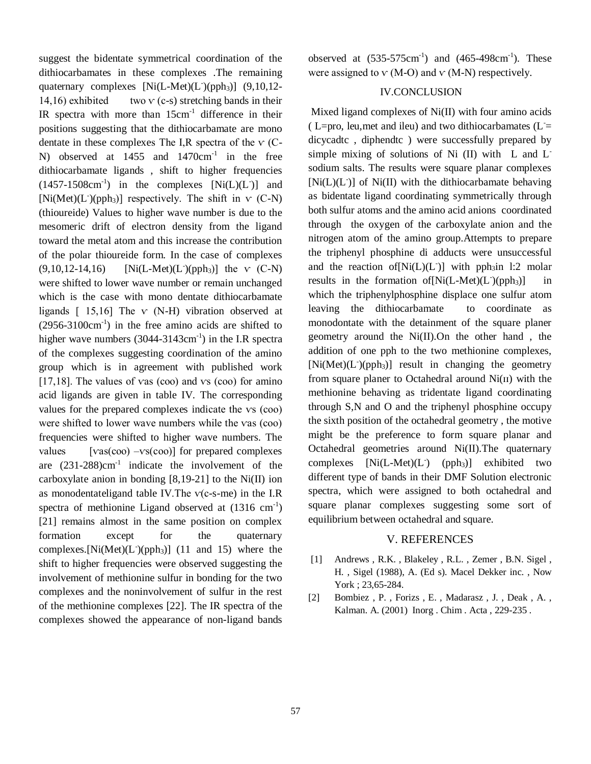suggest the bidentate symmetrical coordination of the dithiocarbamates in these complexes .The remaining quaternary complexes [Ni(L-Met)(L<sup>-</sup>)(pph<sub>3</sub>)] (9,10,12-14,16) exhibited two  $\mathbf{v}$  (c-s) stretching bands in their IR spectra with more than  $15 \text{cm}^{-1}$  difference in their positions suggesting that the dithiocarbamate are mono dentate in these complexes The I,R spectra of the  $\vee$  (C-N) observed at  $1455$  and  $1470 \text{cm}^{-1}$  in the free dithiocarbamate ligands , shift to higher frequencies  $(1457-1508cm^{-1})$  in the complexes  $[Ni(L)(L)]$  and  $[Ni(Met)(L^-(pph_3)]$  respectively. The shift in  $v(C-N)$ (thioureide) Values to higher wave number is due to the mesomeric drift of electron density from the ligand toward the metal atom and this increase the contribution of the polar thioureide form. In the case of complexes  $(9,10,12-14,16)$  $[Ni(L-Met)(L)(pph_3)]$  the v  $(C-N)$ were shifted to lower wave number or remain unchanged which is the case with mono dentate dithiocarbamate ligands  $\lceil 15,16 \rceil$  The v (N-H) vibration observed at  $(2956-3100 \text{cm}^{-1})$  in the free amino acids are shifted to higher wave numbers  $(3044-3143 \text{cm}^{-1})$  in the I.R spectra of the complexes suggesting coordination of the amino group which is in agreement with published work [17,18]. The values of vas (coo) and  $vs$  (coo) for amino acid ligands are given in table IV. The corresponding values for the prepared complexes indicate the vs (coo) were shifted to lower wave numbers while the vas (coo) frequencies were shifted to higher wave numbers. The values  $[vas(coo) - vs(coo)]$  for prepared complexes are  $(231-288)$ cm<sup>-1</sup> indicate the involvement of the carboxylate anion in bonding  $[8,19-21]$  to the Ni(II) ion as monodentateligand table IV. The  $v(c-s-me)$  in the I.R spectra of methionine Ligand observed at  $(1316 \text{ cm}^{-1})$ [21] remains almost in the same position on complex formation except for the quaternary complexes. [Ni(Met)(L )(pph<sub>3</sub>)] (11 and 15) where the shift to higher frequencies were observed suggesting the involvement of methionine sulfur in bonding for the two complexes and the noninvolvement of sulfur in the rest of the methionine complexes [22]. The IR spectra of the complexes showed the appearance of non-ligand bands

observed at  $(535-575cm^{-1})$  and  $(465-498cm^{-1})$ . These were assigned to  $V$  (M-O) and  $V$  (M-N) respectively.

#### IV.CONCLUSION

Mixed ligand complexes of Ni(II) with four amino acids ( L=pro, leu, met and ileu) and two dithiocarbamates ( $L =$ dicycadtc , diphendtc ) were successfully prepared by simple mixing of solutions of Ni (II) with L and Lsodium salts. The results were square planar complexes [Ni(L)(L<sup>-</sup>)] of Ni(II) with the dithiocarbamate behaving as bidentate ligand coordinating symmetrically through both sulfur atoms and the amino acid anions coordinated through the oxygen of the carboxylate anion and the nitrogen atom of the amino group.Attempts to prepare the triphenyl phosphine di adducts were unsuccessful and the reaction of  $[Ni(L)(L)]$  with pph<sub>3</sub>in 1:2 molar results in the formation of  $[Ni(L-Met)(L^2)(pph_3)]$  in which the triphenylphosphine displace one sulfur atom leaving the dithiocarbamate to coordinate as monodontate with the detainment of the square planer geometry around the Ni(II).On the other hand , the addition of one pph to the two methionine complexes, [Ni(Met)(L<sup>-</sup>)(pph<sub>3</sub>)] result in changing the geometry from square planer to Octahedral around  $Ni(II)$  with the methionine behaving as tridentate ligand coordinating through S,N and O and the triphenyl phosphine occupy the sixth position of the octahedral geometry , the motive might be the preference to form square planar and Octahedral geometries around Ni(II).The quaternary complexes  $[Ni(L-Met)(L^m)$  (pph<sub>3</sub>)] exhibited two different type of bands in their DMF Solution electronic spectra, which were assigned to both octahedral and square planar complexes suggesting some sort of equilibrium between octahedral and square.

#### V. REFERENCES

- [1] Andrews, R.K., Blakeley, R.L., Zemer, B.N. Sigel, H. , Sigel (1988), A. (Ed s). Macel Dekker inc. , Now York ; 23,65-284.
- [2] Bombiez , P. , Forizs , E. , Madarasz , J. , Deak , A. , Kalman. A. (2001) Inorg . Chim . Acta , 229-235 .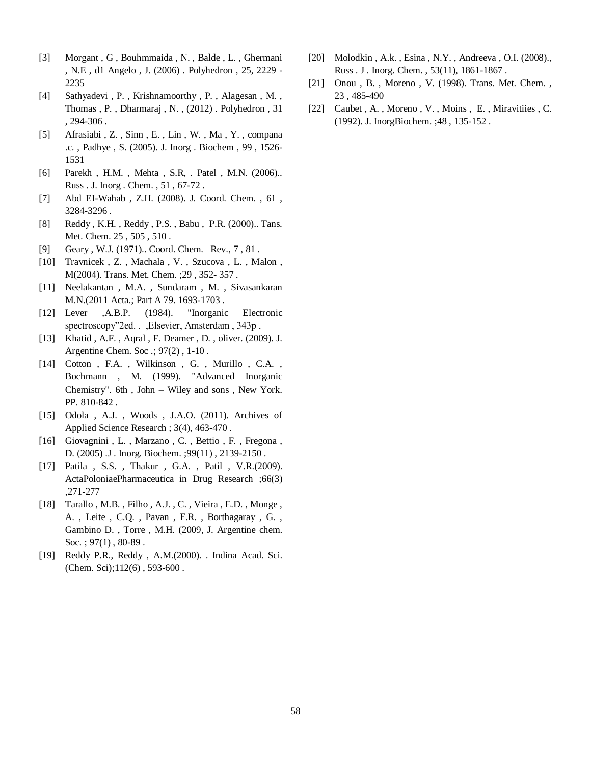- [3] Morgant , G , Bouhmmaida , N. , Balde , L. , Ghermani , N.E , d1 Angelo , J. (2006) . Polyhedron , 25, 2229 - 2235
- [4] Sathyadevi , P. , Krishnamoorthy , P. , Alagesan , M. , Thomas , P. , Dharmaraj , N. , (2012) . Polyhedron , 31 , 294-306 .
- [5] Afrasiabi , Z. , Sinn , E. , Lin , W. , Ma , Y. , compana .c. , Padhye , S. (2005). J. Inorg . Biochem , 99 , 1526- 1531
- [6] Parekh, H.M., Mehta, S.R., Patel, M.N. (2006)... Russ . J. Inorg . Chem. , 51 , 67-72 .
- [7] Abd EI-Wahab , Z.H. (2008). J. Coord. Chem. , 61 , 3284-3296 .
- [8] Reddy, K.H., Reddy, P.S., Babu, P.R. (2000).. Tans. Met. Chem. 25 , 505 , 510 .
- [9] Geary , W.J. (1971).. Coord. Chem. Rev., 7 , 81 .
- [10] Travnicek , Z. , Machala , V. , Szucova , L. , Malon , M(2004). Trans. Met. Chem. ;29 , 352- 357 .
- [11] Neelakantan , M.A. , Sundaram , M. , Sivasankaran M.N.(2011 Acta.; Part A 79. 1693-1703 .
- [12] Lever ,A.B.P. (1984). "Inorganic Electronic spectroscopy"2ed. . ,Elsevier, Amsterdam , 343p .
- [13] Khatid , A.F. , Aqral , F. Deamer , D. , oliver. (2009). J. Argentine Chem. Soc .; 97(2) , 1-10 .
- [14] Cotton, F.A., Wilkinson, G., Murillo, C.A., Bochmann , M. (1999). "Advanced Inorganic Chemistry". 6th , John – Wiley and sons , New York. PP. 810-842 .
- [15] Odola , A.J. , Woods , J.A.O. (2011). Archives of Applied Science Research ; 3(4), 463-470 .
- [16] Giovagnini , L. , Marzano , C. , Bettio , F. , Fregona , D. (2005) .J . Inorg. Biochem. ;99(11) , 2139-2150 .
- [17] Patila, S.S., Thakur, G.A., Patil, V.R.(2009). ActaPoloniaePharmaceutica in Drug Research ;66(3) ,271-277
- [18] Tarallo, M.B., Filho, A.J., C., Vieira, E.D., Monge, A. , Leite , C.Q. , Pavan , F.R. , Borthagaray , G. , Gambino D. , Torre , M.H. (2009, J. Argentine chem. Soc. ;  $97(1)$ ,  $80-89$ .
- [19] Reddy P.R., Reddy , A.M.(2000). . Indina Acad. Sci. (Chem. Sci);112(6) , 593-600 .
- [20] Molodkin , A.k. , Esina , N.Y. , Andreeva , O.I. (2008)., Russ . J . Inorg. Chem. , 53(11), 1861-1867 .
- [21] Onou , B. , Moreno , V. (1998). Trans. Met. Chem. , 23 , 485-490
- [22] Caubet, A., Moreno, V., Moins, E., Miravitiies, C. (1992). J. InorgBiochem. ;48 , 135-152 .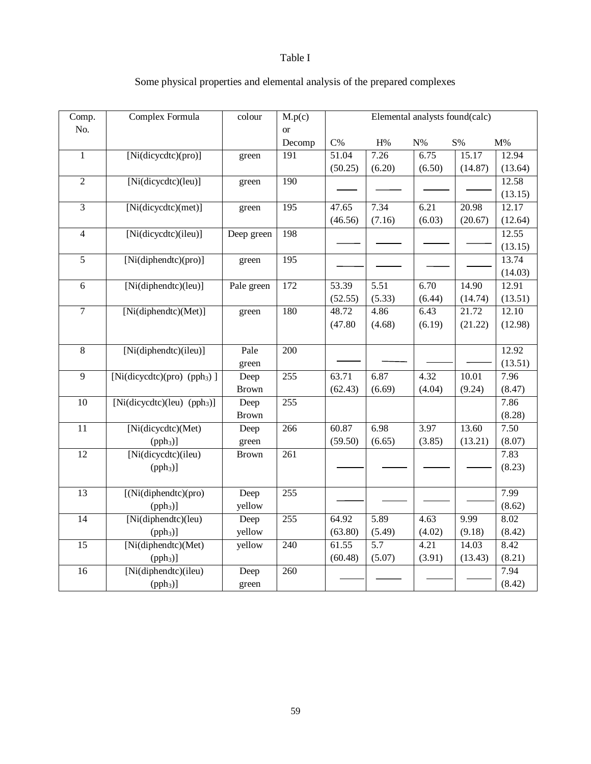# Table I

| Comp.           | Complex Formula                         | colour       | M.p(c)           | Elemental analysts found(calc) |        |        |                   |         |
|-----------------|-----------------------------------------|--------------|------------------|--------------------------------|--------|--------|-------------------|---------|
| No.             |                                         |              | <b>or</b>        |                                |        |        |                   |         |
|                 |                                         |              | Decomp           | $C\%$                          | H%     | $N\%$  | $\mathrm{S}\%$    | $M\%$   |
| $\mathbf{1}$    | [Ni(dicycdtc)(pro)]                     | green        | 191              | 51.04                          | 7.26   | 6.75   | 15.17             | 12.94   |
|                 |                                         |              |                  | (50.25)                        | (6.20) | (6.50) | (14.87)           | (13.64) |
| $\overline{2}$  | [Ni(dicycdtc)(leu)]                     | green        | 190              |                                |        |        |                   | 12.58   |
|                 |                                         |              |                  |                                |        |        |                   | (13.15) |
| $\overline{3}$  | [Ni(dicycdtc)(met)]                     | green        | 195              | 47.65                          | 7.34   | 6.21   | 20.98             | 12.17   |
|                 |                                         |              |                  | (46.56)                        | (7.16) | (6.03) | (20.67)           | (12.64) |
| $\overline{4}$  | [Ni(dicycdtc)(ileu)]                    | Deep green   | 198              |                                |        |        |                   | 12.55   |
|                 |                                         |              |                  |                                |        |        |                   | (13.15) |
| $\overline{5}$  | [Ni(diphendtc)(pro)]                    | green        | $\overline{195}$ |                                |        |        |                   | 13.74   |
|                 |                                         |              |                  |                                |        |        |                   | (14.03) |
| 6               | [Ni(diphendtc)(leu)]                    | Pale green   | 172              | 53.39                          | 5.51   | 6.70   | 14.90             | 12.91   |
|                 |                                         |              |                  | (52.55)                        | (5.33) | (6.44) | (14.74)           | (13.51) |
| $\overline{7}$  | [Ni(diphendtc)(Met)]                    | green        | 180              | 48.72                          | 4.86   | 6.43   | 21.72             | 12.10   |
|                 |                                         |              |                  | (47.80)                        | (4.68) | (6.19) | (21.22)           | (12.98) |
|                 |                                         |              |                  |                                |        |        |                   |         |
| $8\,$           | [Ni(diphendtc)(ileu)]                   | Pale         | 200              |                                |        |        |                   | 12.92   |
|                 |                                         | green        |                  |                                |        |        |                   | (13.51) |
| $\overline{9}$  | [Ni(dicycdtc)(pro) (pph <sub>3</sub> )] | Deep         | 255              | 63.71                          | 6.87   | 4.32   | 10.01             | 7.96    |
|                 |                                         | <b>Brown</b> |                  | (62.43)                        | (6.69) | (4.04) | (9.24)            | (8.47)  |
| $\overline{10}$ | [Ni(dicycdtc)(leu) $(pph3)$ ]           | Deep         | 255              |                                |        |        |                   | 7.86    |
|                 |                                         | <b>Brown</b> |                  |                                |        |        |                   | (8.28)  |
| 11              | [Ni(dicycdtc)(Met)                      | Deep         | 266              | 60.87                          | 6.98   | 3.97   | 13.60             | 7.50    |
|                 | (pph <sub>3</sub> )                     | green        |                  | (59.50)                        | (6.65) | (3.85) | (13.21)           | (8.07)  |
| $\overline{12}$ | [Ni(dicycdtc)(ileu)                     | <b>Brown</b> | 261              |                                |        |        |                   | 7.83    |
|                 | (pph <sub>3</sub> )                     |              |                  |                                |        |        |                   | (8.23)  |
|                 |                                         |              |                  |                                |        |        |                   |         |
| 13              | $\sqrt{\frac{Ni(\text{diphendte})}{n}}$ | Deep         | 255              |                                |        |        |                   | 7.99    |
|                 | $(pph3)$ ]                              | yellow       |                  |                                |        |        |                   | (8.62)  |
| $\overline{14}$ | $\sqrt{[Ni(diphendtc)}$ (leu)           | Deep         | 255              | 64.92                          | 5.89   | 4.63   | $\overline{9.99}$ | 8.02    |
|                 | (pph <sub>3</sub> )                     | yellow       |                  | (63.80)                        | (5.49) | (4.02) | (9.18)            | (8.42)  |
| 15              | [Ni(diphendtc)(Met)                     | yellow       | 240              | 61.55                          | 5.7    | 4.21   | 14.03             | 8.42    |
|                 | (pph <sub>3</sub> )                     |              |                  | (60.48)                        | (5.07) | (3.91) | (13.43)           | (8.21)  |
| 16              | [Ni(diphendtc)(ileu)                    | Deep         | 260              |                                |        |        |                   | 7.94    |
|                 | (pph <sub>3</sub> )                     | green        |                  |                                |        |        |                   | (8.42)  |

# Some physical properties and elemental analysis of the prepared complexes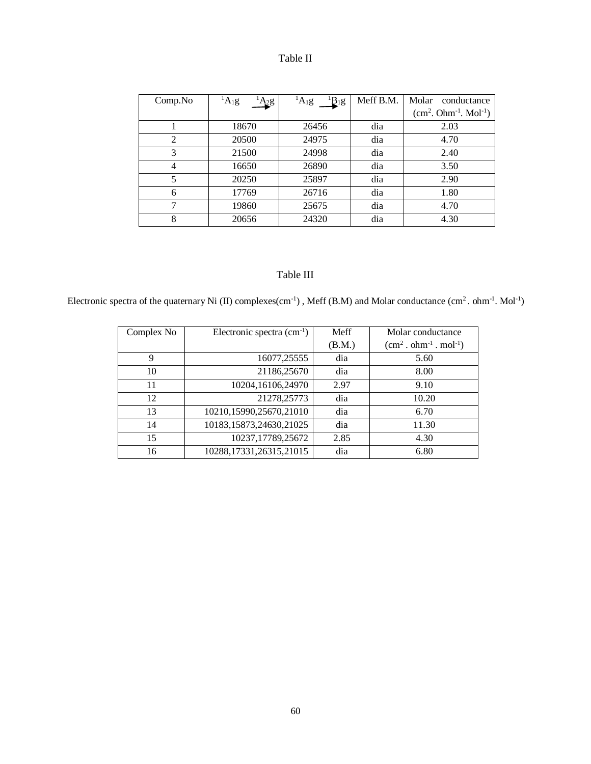|  | able |  |
|--|------|--|
|--|------|--|

| Comp No        | $A_1g$<br>$A_2g$ | ${}^{1}B_{1}g$<br>$\mathrm{^{1}A}_{1}g$ | Meff B.M. | Molar<br>conductance  |
|----------------|------------------|-----------------------------------------|-----------|-----------------------|
|                |                  |                                         |           | $(cm2. Ohm-1. Mol-1)$ |
|                | 18670            | 26456                                   | dia       | 2.03                  |
| $\overline{2}$ | 20500            | 24975                                   | dia       | 4.70                  |
| 3              | 21500            | 24998                                   | dia       | 2.40                  |
| 4              | 16650            | 26890                                   | dia       | 3.50                  |
| 5              | 20250            | 25897                                   | dia       | 2.90                  |
| 6              | 17769            | 26716                                   | dia       | 1.80                  |
| 7              | 19860            | 25675                                   | dia       | 4.70                  |
| 8              | 20656            | 24320                                   | dia       | 4.30                  |

# Table III

Electronic spectra of the quaternary Ni (II) complexes(cm<sup>-1</sup>), Meff (B.M) and Molar conductance (cm<sup>2</sup>. ohm<sup>-1</sup>. Mol<sup>-1</sup>)

| Complex No | Electronic spectra $(cm^{-1})$ | Meff   | Molar conductance               |
|------------|--------------------------------|--------|---------------------------------|
|            |                                | (B.M.) | $(cm2 \cdot ohm-1 \cdot mol-1)$ |
| 9          | 16077,25555                    | dia    | 5.60                            |
| 10         | 21186,25670                    | dia    | 8.00                            |
| 11         | 10204,16106,24970              | 2.97   | 9.10                            |
| 12         | 21278,25773                    | dia    | 10.20                           |
| 13         | 10210,15990,25670,21010        | dia    | 6.70                            |
| 14         | 10183,15873,24630,21025        | dia    | 11.30                           |
| 15         | 10237,17789,25672              | 2.85   | 4.30                            |
| 16         | 10288,17331,26315,21015        | dia    | 6.80                            |